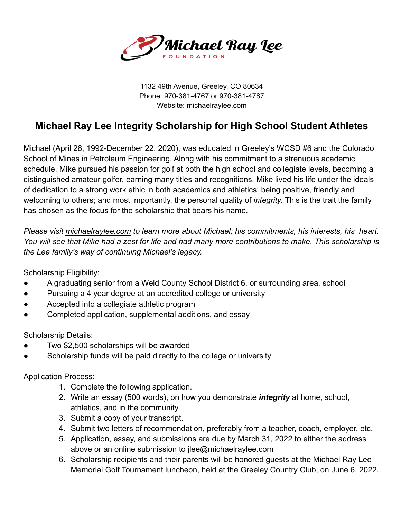

1132 49th Avenue, Greeley, CO 80634 Phone: 970-381-4767 or 970-381-4787 Website: michaelraylee.com

## **Michael Ray Lee Integrity Scholarship for High School Student Athletes**

Michael (April 28, 1992-December 22, 2020), was educated in Greeley's WCSD #6 and the Colorado School of Mines in Petroleum Engineering. Along with his commitment to a strenuous academic schedule, Mike pursued his passion for golf at both the high school and collegiate levels, becoming a distinguished amateur golfer, earning many titles and recognitions. Mike lived his life under the ideals of dedication to a strong work ethic in both academics and athletics; being positive, friendly and welcoming to others; and most importantly, the personal quality of *integrity.* This is the trait the family has chosen as the focus for the scholarship that bears his name.

*Please visit michaelraylee.com to learn more about Michael; his commitments, his interests, his heart. You will see that Mike had a zest for life and had many more contributions to make. This scholarship is the Lee family's way of continuing Michael's legacy.*

Scholarship Eligibility:

- A graduating senior from a Weld County School District 6, or surrounding area, school
- Pursuing a 4 year degree at an accredited college or university
- Accepted into a collegiate athletic program
- Completed application, supplemental additions, and essay

Scholarship Details:

- Two \$2,500 scholarships will be awarded
- Scholarship funds will be paid directly to the college or university

Application Process:

- 1. Complete the following application.
- 2. Write an essay (500 words), on how you demonstrate *integrity* at home, school, athletics, and in the community.
- 3. Submit a copy of your transcript.
- 4. Submit two letters of recommendation, preferably from a teacher, coach, employer, etc.
- 5. Application, essay, and submissions are due by March 31, 2022 to either the address above or an online submission to jlee@michaelraylee.com
- 6. Scholarship recipients and their parents will be honored guests at the Michael Ray Lee Memorial Golf Tournament luncheon, held at the Greeley Country Club, on June 6, 2022.